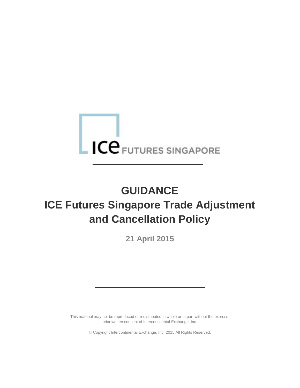# **ICE** FUTURES SINGAPORE

# **GUIDANCE ICE Futures Singapore Trade Adjustment and Cancellation Policy**

**21 April 2015**

This material may not be reproduced or redistributed in whole or in part without the express, prior written consent of Intercontinental Exchange, Inc.

Copyright Intercontinental Exchange, Inc. 2015 All Rights Reserved.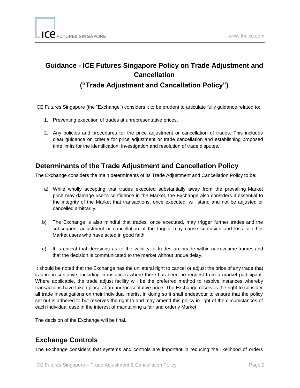# **Guidance - ICE Futures Singapore Policy on Trade Adjustment and Cancellation**

## **("Trade Adjustment and Cancellation Policy")**

ICE Futures Singapore (the "Exchange") considers it to be prudent to articulate fully guidance related to:

- 1. Preventing execution of trades at unrepresentative prices.
- 2. Any policies and procedures for the price adjustment or cancellation of trades. This includes clear guidance on criteria for price adjustment or trade cancellation and establishing proposed time limits for the identification, investigation and resolution of trade disputes.

#### **Determinants of the Trade Adjustment and Cancellation Policy**

The Exchange considers the main determinants of its Trade Adjustment and Cancellation Policy to be:

- a) While wholly accepting that trades executed substantially away from the prevailing Market price may damage user's confidence in the Market, the Exchange also considers it essential to the integrity of the Market that transactions, once executed, will stand and not be adjusted or cancelled arbitrarily.
- b) The Exchange is also mindful that trades, once executed, may trigger further trades and the subsequent adjustment or cancellation of the trigger may cause confusion and loss to other Market users who have acted in good faith.
- c) It is critical that decisions as to the validity of trades are made within narrow time frames and that the decision is communicated to the market without undue delay.

It should be noted that the Exchange has the unilateral right to cancel or adjust the price of any trade that is unrepresentative, including in instances where there has been no request from a market participant. Where applicable, the trade adjust facility will be the preferred method to resolve instances whereby transactions have taken place at an unrepresentative price. The Exchange reserves the right to consider all trade investigations on their individual merits, in doing so it shall endeavour to ensure that the policy set out is adhered to but reserves the right to and may amend this policy in light of the circumstances of each individual case in the interest of maintaining a fair and orderly Market.

The decision of the Exchange will be final.

#### **Exchange Controls**

The Exchange considers that systems and controls are important in reducing the likelihood of orders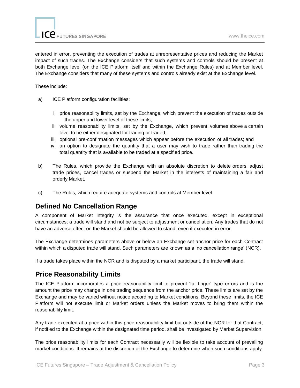entered in error, preventing the execution of trades at unrepresentative prices and reducing the Market impact of such trades. The Exchange considers that such systems and controls should be present at both Exchange level (on the ICE Platform itself and within the Exchange Rules) and at Member level. The Exchange considers that many of these systems and controls already exist at the Exchange level.

These include:

- a) ICE Platform configuration facilities:
	- i. price reasonability limits, set by the Exchange, which prevent the execution of trades outside the upper and lower level of these limits;
	- ii. volume reasonability limits, set by the Exchange, which prevent volumes above a certain level to be either designated for trading or traded;
	- iii. optional pre-confirmation messages which appear before the execution of all trades; and
	- iv. an option to designate the quantity that a user may wish to trade rather than trading the total quantity that is available to be traded at a specified price.
- b) The Rules, which provide the Exchange with an absolute discretion to delete orders, adjust trade prices, cancel trades or suspend the Market in the interests of maintaining a fair and orderly Market.
- c) The Rules, which require adequate systems and controls at Member level.

### **Defined No Cancellation Range**

A component of Market integrity is the assurance that once executed, except in exceptional circumstances; a trade will stand and not be subject to adjustment or cancellation. Any trades that do not have an adverse effect on the Market should be allowed to stand, even if executed in error.

The Exchange determines parameters above or below an Exchange set anchor price for each Contract within which a disputed trade will stand. Such parameters are known as a 'no cancellation range' (NCR).

If a trade takes place within the NCR and is disputed by a market participant, the trade will stand.

#### **Price Reasonability Limits**

The ICE Platform incorporates a price reasonability limit to prevent 'fat finger' type errors and is the amount the price may change in one trading sequence from the anchor price. These limits are set by the Exchange and may be varied without notice according to Market conditions. Beyond these limits, the ICE Platform will not execute limit or Market orders unless the Market moves to bring them within the reasonability limit.

Any trade executed at a price within this price reasonability limit but outside of the NCR for that Contract, if notified to the Exchange within the designated time period, shall be investigated by Market Supervision.

The price reasonability limits for each Contract necessarily will be flexible to take account of prevailing market conditions. It remains at the discretion of the Exchange to determine when such conditions apply.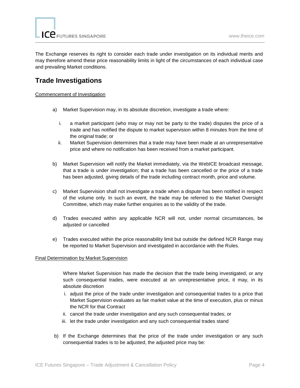The Exchange reserves its right to consider each trade under investigation on its individual merits and may therefore amend these price reasonability limits in light of the circumstances of each individual case and prevailing Market conditions.

### **Trade Investigations**

#### Commencement of Investigation

- a) Market Supervision may, in its absolute discretion, investigate a trade where:
	- i. a market participant (who may or may not be party to the trade) disputes the price of a trade and has notified the dispute to market supervision within 8 minutes from the time of the original trade; or
	- ii. Market Supervision determines that a trade may have been made at an unrepresentative price and where no notification has been received from a market participant.
- b) Market Supervision will notify the Market immediately, via the WebICE broadcast message, that a trade is under investigation; that a trade has been cancelled or the price of a trade has been adjusted, giving details of the trade including contract month, price and volume.
- c) Market Supervision shall not investigate a trade when a dispute has been notified in respect of the volume only. In such an event, the trade may be referred to the Market Oversight Committee, which may make further enquiries as to the validity of the trade.
- d) Trades executed within any applicable NCR will not, under normal circumstances, be adjusted or cancelled
- e) Trades executed within the price reasonability limit but outside the defined NCR Range may be reported to Market Supervision and investigated in accordance with the Rules.

#### Final Determination by Market Supervision

Where Market Supervision has made the decision that the trade being investigated, or any such consequential trades, were executed at an unrepresentative price, it may, in its absolute discretion

- i. adjust the price of the trade under investigation and consequential trades to a price that Market Supervision evaluates as fair market value at the time of execution, plus or minus the NCR for that Contract
- ii. cancel the trade under investigation and any such consequential trades; or
- iii. let the trade under investigation and any such consequential trades stand
- b) If the Exchange determines that the price of the trade under investigation or any such consequential trades is to be adjusted, the adjusted price may be: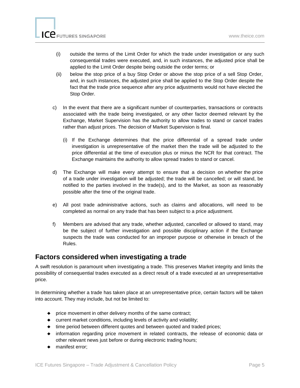- (i) outside the terms of the Limit Order for which the trade under investigation or any such consequential trades were executed, and, in such instances, the adjusted price shall be applied to the Limit Order despite being outside the order terms; or
- (ii) below the stop price of a buy Stop Order or above the stop price of a sell Stop Order, and, in such instances, the adjusted price shall be applied to the Stop Order despite the fact that the trade price sequence after any price adjustments would not have elected the Stop Order.
- c) In the event that there are a significant number of counterparties, transactions or contracts associated with the trade being investigated, or any other factor deemed relevant by the Exchange, Market Supervision has the authority to allow trades to stand or cancel trades rather than adjust prices. The decision of Market Supervision is final.
	- (i) If the Exchange determines that the price differential of a spread trade under investigation is unrepresentative of the market then the trade will be adjusted to the price differential at the time of execution plus or minus the NCR for that contract. The Exchange maintains the authority to allow spread trades to stand or cancel.
- d) The Exchange will make every attempt to ensure that a decision on whether the price of a trade under investigation will be adjusted; the trade will be cancelled; or will stand, be notified to the parties involved in the trade(s), and to the Market, as soon as reasonably possible after the time of the original trade.
- e) All post trade administrative actions, such as claims and allocations, will need to be completed as normal on any trade that has been subject to a price adjustment.
- f) Members are advised that any trade, whether adjusted, cancelled or allowed to stand, may be the subject of further investigation and possible disciplinary action if the Exchange suspects the trade was conducted for an improper purpose or otherwise in breach of the Rules.

#### **Factors considered when investigating a trade**

A swift resolution is paramount when investigating a trade. This preserves Market integrity and limits the possibility of consequential trades executed as a direct result of a trade executed at an unrepresentative price.

In determining whether a trade has taken place at an unrepresentative price, certain factors will be taken into account. They may include, but not be limited to:

- ♦ price movement in other delivery months of the same contract;
- ♦ current market conditions, including levels of activity and volatility;
- ♦ time period between different quotes and between quoted and traded prices;
- ♦ information regarding price movement in related contracts, the release of economic data or other relevant news just before or during electronic trading hours;
- ♦ manifest error;